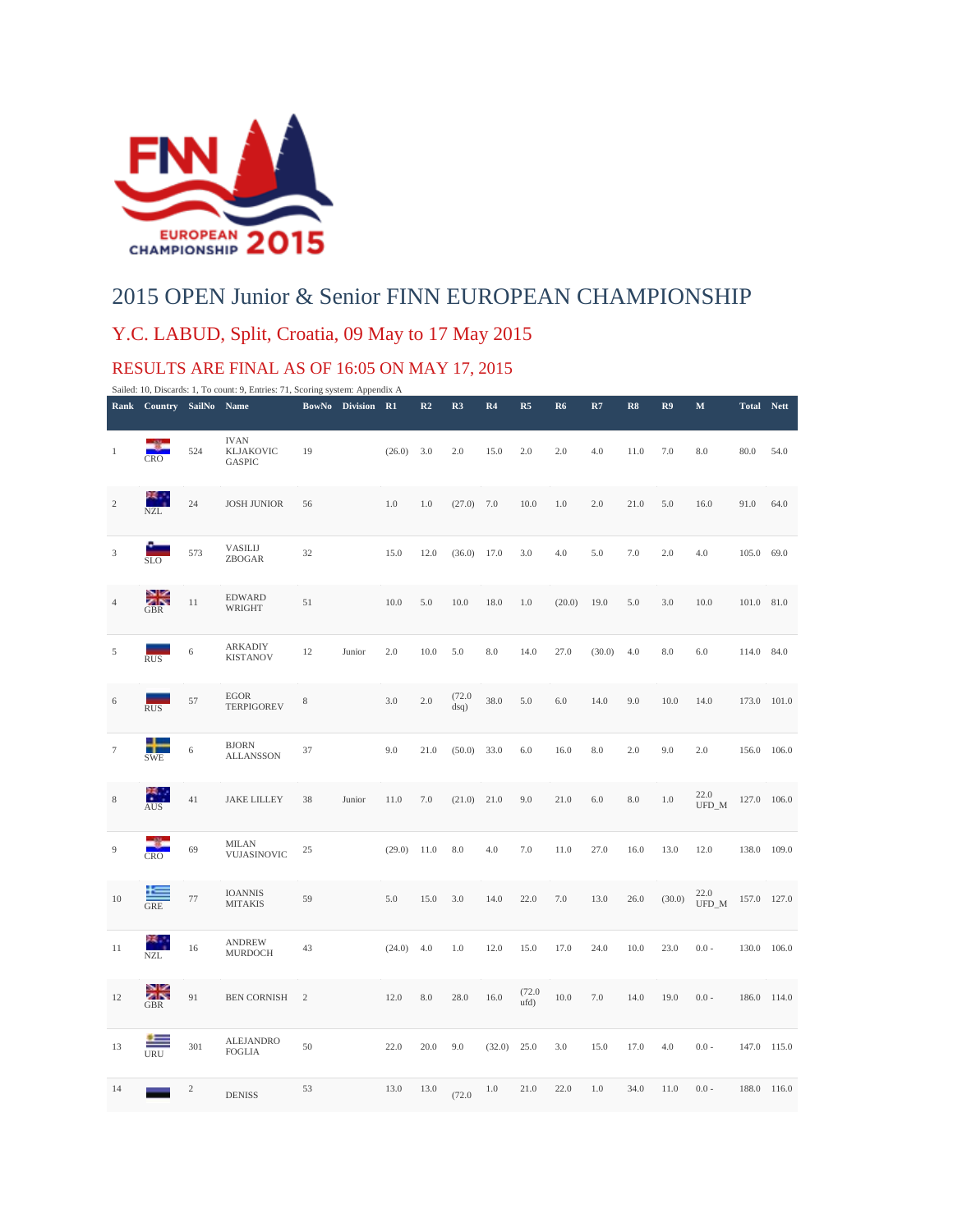

## 2015 OPEN Junior & Senior FINN EUROPEAN CHAMPIONSHIP

## Y.C. LABUD, Split, Croatia, 09 May to 17 May 2015

## RESULTS ARE FINAL AS OF 16:05 ON MAY 17, 2015

Sailed: 10, Discards: 1, To count: 9, Entries: 71, Scoring system: Appendix A

| Rank            | Country SailNo              |                         | Name                                             | <b>BowNo</b>   | Division R1 |        | R2   | R3            | R4     | R <sub>5</sub> | R <sub>6</sub> | R7     | R8   | R9     | M             | Total Nett |             |
|-----------------|-----------------------------|-------------------------|--------------------------------------------------|----------------|-------------|--------|------|---------------|--------|----------------|----------------|--------|------|--------|---------------|------------|-------------|
| $\mathbf{1}$    | CRO                         | 524                     | <b>IVAN</b><br><b>KLJAKOVIC</b><br><b>GASPIC</b> | 19             |             | (26.0) | 3.0  | 2.0           | 15.0   | 2.0            | 2.0            | 4.0    | 11.0 | 7.0    | 8.0           | 80.0       | 54.0        |
| $\overline{2}$  | NZL                         | 24                      | <b>JOSH JUNIOR</b>                               | 56             |             | 1.0    | 1.0  | (27.0)        | 7.0    | 10.0           | 1.0            | 2.0    | 21.0 | 5.0    | 16.0          | 91.0       | 64.0        |
| 3               | <b>SLO</b>                  | 573                     | <b>VASILIJ</b><br>ZBOGAR                         | 32             |             | 15.0   | 12.0 | (36.0)        | 17.0   | 3.0            | 4.0            | 5.0    | 7.0  | 2.0    | 4.0           | 105.0 69.0 |             |
| $\overline{4}$  | $\frac{N}{N}$<br><b>GBR</b> | 11                      | <b>EDWARD</b><br>WRIGHT                          | 51             |             | 10.0   | 5.0  | 10.0          | 18.0   | 1.0            | (20.0)         | 19.0   | 5.0  | 3.0    | 10.0          | 101.0 81.0 |             |
| $\sqrt{5}$      | $R\overline{US}$            | 6                       | <b>ARKADIY</b><br><b>KISTANOV</b>                | 12             | Junior      | 2.0    | 10.0 | 5.0           | 8.0    | 14.0           | 27.0           | (30.0) | 4.0  | 8.0    | 6.0           | 114.0 84.0 |             |
| 6               | <b>RUS</b>                  | 57                      | <b>EGOR</b><br><b>TERPIGOREV</b>                 | $\,$ 8 $\,$    |             | 3.0    | 2.0  | (72.0<br>dsq) | 38.0   | 5.0            | $6.0\,$        | 14.0   | 9.0  | 10.0   | 14.0          |            | 173.0 101.0 |
| $7\phantom{.0}$ | ╅<br><b>SWE</b>             | 6                       | <b>BJORN</b><br><b>ALLANSSON</b>                 | 37             |             | 9.0    | 21.0 | (50.0)        | 33.0   | 6.0            | 16.0           | 8.0    | 2.0  | 9.0    | 2.0           | 156.0      | 106.0       |
| 8               | æ.,<br><b>AUS</b>           | 41                      | <b>JAKE LILLEY</b>                               | 38             | Junior      | 11.0   | 7.0  | (21.0)        | 21.0   | 9.0            | 21.0           | 6.0    | 8.0  | 1.0    | 22.0<br>UFD M |            | 127.0 106.0 |
| 9               | CRO                         | 69                      | <b>MILAN</b><br>VUJASINOVIC                      | 25             |             | (29.0) | 11.0 | 8.0           | 4.0    | 7.0            | 11.0           | 27.0   | 16.0 | 13.0   | 12.0          |            | 138.0 109.0 |
| 10              | $rac{1}{\text{GRE}}$        | 77                      | <b>IOANNIS</b><br><b>MITAKIS</b>                 | 59             |             | 5.0    | 15.0 | 3.0           | 14.0   | 22.0           | 7.0            | 13.0   | 26.0 | (30.0) | 22.0<br>UFD M |            | 157.0 127.0 |
| 11              | <b>AR</b><br>NZL            | 16                      | <b>ANDREW</b><br><b>MURDOCH</b>                  | 43             |             | (24.0) | 4.0  | $1.0$         | 12.0   | 15.0           | 17.0           | 24.0   | 10.0 | 23.0   | $0.0 -$       |            | 130.0 106.0 |
| 12              | $\frac{N}{2}$<br><b>GBR</b> | 91                      | <b>BEN CORNISH</b>                               | $\overline{2}$ |             | 12.0   | 8.0  | 28.0          | 16.0   | (72.0)<br>ufd) | 10.0           | 7.0    | 14.0 | 19.0   | $0.0 -$       |            | 186.0 114.0 |
| 13              | $\frac{1}{\text{URU}}$      | 301                     | <b>ALEJANDRO</b><br><b>FOGLIA</b>                | 50             |             | 22.0   | 20.0 | 9.0           | (32.0) | 25.0           | 3.0            | 15.0   | 17.0 | 4.0    | $0.0 -$       |            | 147.0 115.0 |
| 14              |                             | $\overline{\mathbf{c}}$ | <b>DENISS</b>                                    | 53             |             | 13.0   | 13.0 | (72.0)        | 1.0    | 21.0           | 22.0           | 1.0    | 34.0 | 11.0   | $0.0 -$       |            | 188.0 116.0 |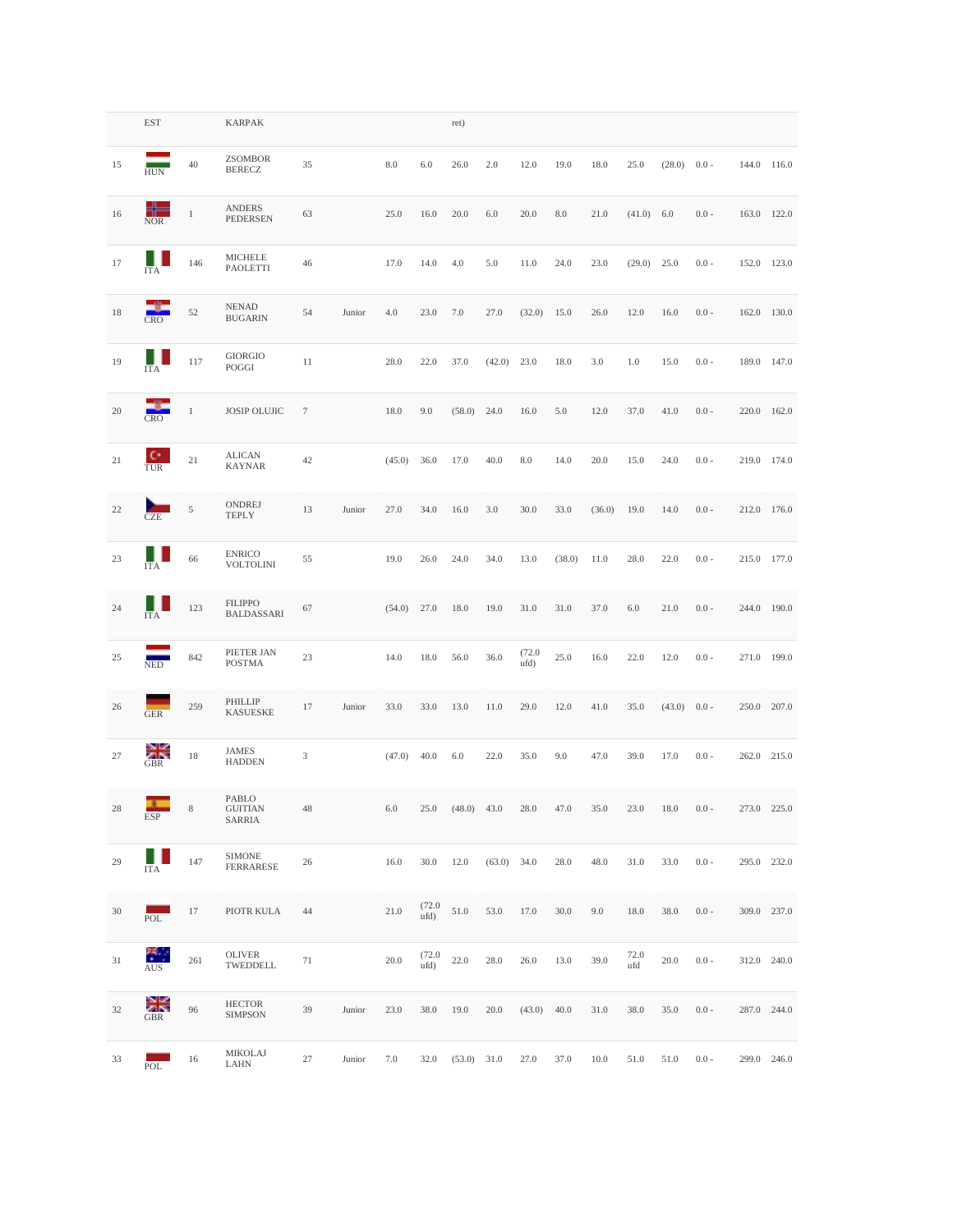|        | <b>EST</b>                   |                | <b>KARPAK</b>                       |        |        |        |                | ret)   |        |                |        |        |               |        |         |             |
|--------|------------------------------|----------------|-------------------------------------|--------|--------|--------|----------------|--------|--------|----------------|--------|--------|---------------|--------|---------|-------------|
| 15     | <b>HUN</b>                   | 40             | ZSOMBOR<br><b>BERECZ</b>            | 35     |        | 8.0    | 6.0            | 26.0   | 2.0    | 12.0           | 19.0   | 18.0   | 25.0          | (28.0) | $0.0 -$ | 144.0 116.0 |
| 16     | <b>NOR</b>                   | 1              | <b>ANDERS</b><br><b>PEDERSEN</b>    | 63     |        | 25.0   | 16.0           | 20.0   | 6.0    | 20.0           | 8.0    | 21.0   | (41.0) 6.0    |        | $0.0 -$ | 163.0 122.0 |
| 17     | <b>ITA</b>                   | 146            | <b>MICHELE</b><br><b>PAOLETTI</b>   | 46     |        | 17.0   | 14.0           | 4.0    | 5.0    | 11.0           | 24.0   | 23.0   | $(29.0)$ 25.0 |        | $0.0 -$ | 152.0 123.0 |
| 18     | CRO                          | 52             | <b>NENAD</b><br><b>BUGARIN</b>      | 54     | Junior | 4.0    | 23.0           | 7.0    | 27.0   | (32.0)         | 15.0   | 26.0   | 12.0          | 16.0   | $0.0 -$ | 162.0 130.0 |
| 19     | <b>ITA</b>                   | 117            | <b>GIORGIO</b><br>POGGI             | 11     |        | 28.0   | 22.0           | 37.0   | (42.0) | 23.0           | 18.0   | 3.0    | 1.0           | 15.0   | $0.0 -$ | 189.0 147.0 |
| $20\,$ | CRO                          | $\mathbf{1}$   | <b>JOSIP OLUJIC</b>                 | $\tau$ |        | 18.0   | 9.0            | (58.0) | 24.0   | 16.0           | 5.0    | 12.0   | 37.0          | 41.0   | $0.0 -$ | 220.0 162.0 |
| 21     | $\mathbf{C}^*$<br><b>TUR</b> | 21             | <b>ALICAN</b><br><b>KAYNAR</b>      | 42     |        | (45.0) | 36.0           | 17.0   | 40.0   | 8.0            | 14.0   | 20.0   | 15.0          | 24.0   | $0.0 -$ | 219.0 174.0 |
| 22     | <b>CZE</b>                   | $\overline{5}$ | <b>ONDREJ</b><br><b>TEPLY</b>       | 13     | Junior | 27.0   | 34.0           | 16.0   | 3.0    | 30.0           | 33.0   | (36.0) | 19.0          | 14.0   | $0.0 -$ | 212.0 176.0 |
| 23     | Ш<br><b>ITA</b>              | 66             | <b>ENRICO</b><br><b>VOLTOLINI</b>   | 55     |        | 19.0   | 26.0           | 24.0   | 34.0   | 13.0           | (38.0) | 11.0   | 28.0          | 22.0   | $0.0 -$ | 215.0 177.0 |
| 24     | ш<br><b>ITA</b>              | 123            | <b>FILIPPO</b><br><b>BALDASSARI</b> | 67     |        | (54.0) | 27.0           | 18.0   | 19.0   | 31.0           | 31.0   | 37.0   | 6.0           | 21.0   | $0.0 -$ | 244.0 190.0 |
| 25     | <b>NED</b>                   | 842            | PIETER JAN<br><b>POSTMA</b>         | 23     |        | 14.0   | 18.0           | 56.0   | 36.0   | (72.0)<br>ufd) | 25.0   | 16.0   | 22.0          | 12.0   | $0.0 -$ | 271.0 199.0 |
| 26     | <b>GER</b>                   | 259            | PHILLIP<br><b>KASUESKE</b>          | 17     | Junior | 33.0   | 33.0           | 13.0   | 11.0   | 29.0           | 12.0   | 41.0   | 35.0          | (43.0) | $0.0 -$ | 250.0 207.0 |
| 27     | $\frac{N}{2N}$<br><b>GBR</b> | 18             | JAMES<br><b>HADDEN</b>              | 3      |        | (47.0) | 40.0           | 6.0    | 22.0   | 35.0           | 9.0    | 47.0   | 39.0          | 17.0   | $0.0 -$ | 262.0 215.0 |
| $28\,$ | T.<br>ESP                    | $8\,$          | PABLO<br><b>GUITIAN</b><br>SARRIA   | 48     |        | 6.0    | 25.0           | (48.0) | 43.0   | 28.0           | 47.0   | 35.0   | 23.0          | 18.0   | $0.0 -$ | 273.0 225.0 |
| 29     | <b>ITA</b>                   | 147            | <b>SIMONE</b><br>FERRARESE          | 26     |        | 16.0   | 30.0           | 12.0   | (63.0) | 34.0           | 28.0   | 48.0   | 31.0          | 33.0   | $0.0 -$ | 295.0 232.0 |
| 30     | POL                          | 17             | PIOTR KULA                          | 44     |        | 21.0   | (72.0)<br>ufd) | 51.0   | 53.0   | 17.0           | 30.0   | 9.0    | 18.0          | 38.0   | $0.0 -$ | 309.0 237.0 |
| 31     | m.<br><b>AUS</b>             | 261            | OLIVER<br>TWEDDELL                  | $71\,$ |        | 20.0   | (72.0)<br>ufd) | 22.0   | 28.0   | 26.0           | 13.0   | 39.0   | 72.0<br>ufd   | 20.0   | $0.0 -$ | 312.0 240.0 |
| 32     | GBR                          | 96             | <b>HECTOR</b><br><b>SIMPSON</b>     | 39     | Junior | 23.0   | 38.0           | 19.0   | 20.0   | (43.0)         | 40.0   | 31.0   | 38.0          | 35.0   | $0.0 -$ | 287.0 244.0 |
| 33     | POL                          | 16             | <b>MIKOLAJ</b><br>LAHN              | 27     | Junior | 7.0    | 32.0           | (53.0) | 31.0   | 27.0           | 37.0   | 10.0   | 51.0          | 51.0   | $0.0 -$ | 299.0 246.0 |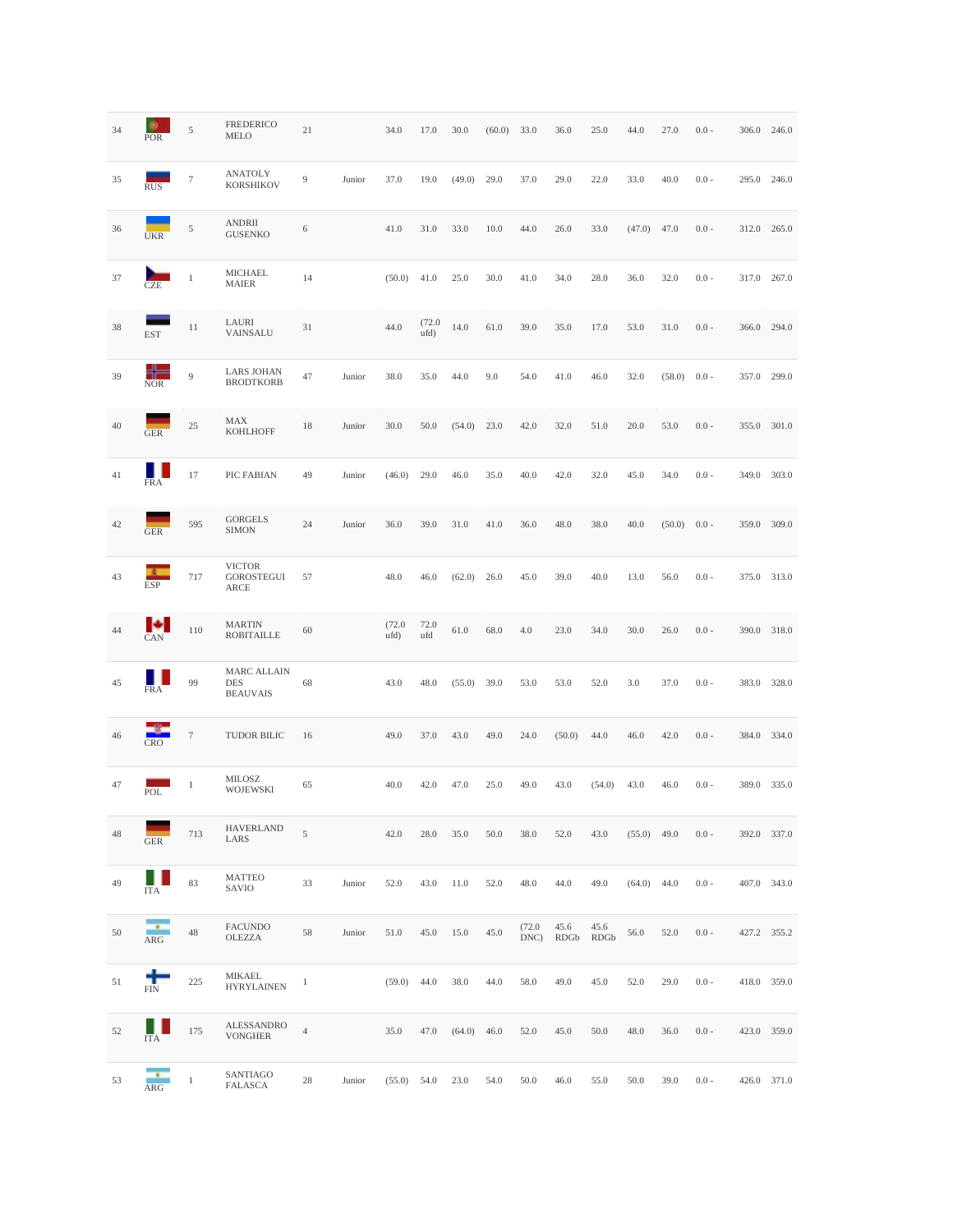| 34 | POR                    | 5              | <b>FREDERICO</b><br><b>MELO</b>                     | 21             |        | 34.0           | 17.0           | 30.0   | (60.0) | 33.0           | 36.0         | 25.0                | 44.0          | 27.0   | $0.0 -$ |       | 306.0 246.0 |
|----|------------------------|----------------|-----------------------------------------------------|----------------|--------|----------------|----------------|--------|--------|----------------|--------------|---------------------|---------------|--------|---------|-------|-------------|
| 35 | <b>RUS</b>             | $\overline{7}$ | <b>ANATOLY</b><br><b>KORSHIKOV</b>                  | 9              | Junior | 37.0           | 19.0           | (49.0) | 29.0   | 37.0           | 29.0         | 22.0                | 33.0          | 40.0   | $0.0 -$ | 295.0 | 246.0       |
| 36 | <b>UKR</b>             | $\sqrt{5}$     | <b>ANDRII</b><br><b>GUSENKO</b>                     | 6              |        | 41.0           | 31.0           | 33.0   | 10.0   | 44.0           | 26.0         | 33.0                | (47.0)        | 47.0   | $0.0 -$ |       | 312.0 265.0 |
| 37 | <b>CZE</b>             | $\mathbf{1}$   | <b>MICHAEL</b><br><b>MAIER</b>                      | 14             |        | (50.0)         | 41.0           | 25.0   | 30.0   | 41.0           | 34.0         | 28.0                | 36.0          | 32.0   | $0.0 -$ |       | 317.0 267.0 |
| 38 | <b>EST</b>             | 11             | LAURI<br><b>VAINSALU</b>                            | 31             |        | 44.0           | (72.0)<br>ufd) | 14.0   | 61.0   | 39.0           | 35.0         | 17.0                | 53.0          | 31.0   | $0.0 -$ | 366.0 | 294.0       |
| 39 | ╬<br>NOR               | 9              | <b>LARS JOHAN</b><br><b>BRODTKORB</b>               | 47             | Junior | 38.0           | 35.0           | 44.0   | 9.0    | 54.0           | 41.0         | 46.0                | 32.0          | (58.0) | $0.0 -$ |       | 357.0 299.0 |
| 40 | <b>GER</b>             | 25             | <b>MAX</b><br><b>KOHLHOFF</b>                       | 18             | Junior | 30.0           | 50.0           | (54.0) | 23.0   | 42.0           | 32.0         | 51.0                | 20.0          | 53.0   | $0.0 -$ |       | 355.0 301.0 |
| 41 | ш<br><b>FRA</b>        | 17             | PIC FABIAN                                          | 49             | Junior | (46.0)         | 29.0           | 46.0   | 35.0   | 40.0           | 42.0         | 32.0                | 45.0          | 34.0   | $0.0 -$ | 349.0 | 303.0       |
| 42 | <b>GER</b>             | 595            | <b>GORGELS</b><br><b>SIMON</b>                      | 24             | Junior | 36.0           | 39.0           | 31.0   | 41.0   | 36.0           | 48.0         | 38.0                | 40.0          | (50.0) | $0.0 -$ |       | 359.0 309.0 |
| 43 | <b>ESP</b>             | 717            | <b>VICTOR</b><br><b>GOROSTEGUI</b><br>ARCE          | 57             |        | 48.0           | 46.0           | (62.0) | 26.0   | 45.0           | 39.0         | 40.0                | 13.0          | 56.0   | $0.0 -$ |       | 375.0 313.0 |
| 44 | <b>P</b><br>CAN        | 110            | <b>MARTIN</b><br><b>ROBITAILLE</b>                  | 60             |        | (72.0)<br>ufd) | 72.0<br>ufd    | 61.0   | 68.0   | 4.0            | 23.0         | 34.0                | 30.0          | 26.0   | $0.0 -$ |       | 390.0 318.0 |
| 45 | ш<br><b>FRA</b>        | 99             | <b>MARC ALLAIN</b><br><b>DES</b><br><b>BEAUVAIS</b> | 68             |        | 43.0           | 48.0           | (55.0) | 39.0   | 53.0           | 53.0         | 52.0                | 3.0           | 37.0   | $0.0 -$ | 383.0 | 328.0       |
| 46 | CRO                    | $\tau$         | <b>TUDOR BILIC</b>                                  | 16             |        | 49.0           | 37.0           | 43.0   | 49.0   | 24.0           | (50.0)       | 44.0                | 46.0          | 42.0   | $0.0 -$ |       | 384.0 334.0 |
| 47 | POL                    | 1              | <b>MILOSZ</b><br><b>WOJEWSKI</b>                    | 65             |        | 40.0           | 42.0           | 47.0   | 25.0   | 49.0           | 43.0         | (54.0)              | 43.0          | 46.0   | $0.0 -$ | 389.0 | 335.0       |
| 48 | GER                    | 713            | <b>HAVERLAND</b><br>LARS                            | 5              |        | 42.0           | 28.0           | 35.0   | 50.0   | 38.0           | 52.0         | 43.0                | (55.0)        | 49.0   | $0.0 -$ |       | 392.0 337.0 |
| 49 | <b>ITA</b>             | 83             | <b>MATTEO</b><br>SAVIO                              | 33             | Junior | 52.0           | 43.0           | 11.0   | 52.0   | 48.0           | 44.0         | 49.0                | $(64.0)$ 44.0 |        | $0.0 -$ |       | 407.0 343.0 |
| 50 | <b>ARG</b>             | 48             | <b>FACUNDO</b><br><b>OLEZZA</b>                     | 58             | Junior | 51.0           | 45.0           | 15.0   | 45.0   | (72.0)<br>DNC) | 45.6<br>RDGb | 45.6<br><b>RDGb</b> | 56.0          | 52.0   | $0.0 -$ |       | 427.2 355.2 |
| 51 | $\frac{1}{\text{FIN}}$ | 225            | <b>MIKAEL</b><br><b>HYRYLAINEN</b>                  | $\mathbf{1}$   |        | (59.0)         | 44.0           | 38.0   | 44.0   | 58.0           | 49.0         | 45.0                | 52.0          | 29.0   | $0.0 -$ |       | 418.0 359.0 |
| 52 | <b>ITA</b>             | 175            | ALESSANDRO<br><b>VONGHER</b>                        | $\overline{4}$ |        | 35.0           | 47.0           | (64.0) | 46.0   | 52.0           | 45.0         | 50.0                | 48.0          | 36.0   | $0.0 -$ |       | 423.0 359.0 |
| 53 | ARG                    | $\mathbf{1}$   | SANTIAGO<br>FALASCA                                 | 28             | Junior | $(55.0)$ 54.0  |                | 23.0   | 54.0   | 50.0           | 46.0         | 55.0                | 50.0          | 39.0   | $0.0 -$ |       | 426.0 371.0 |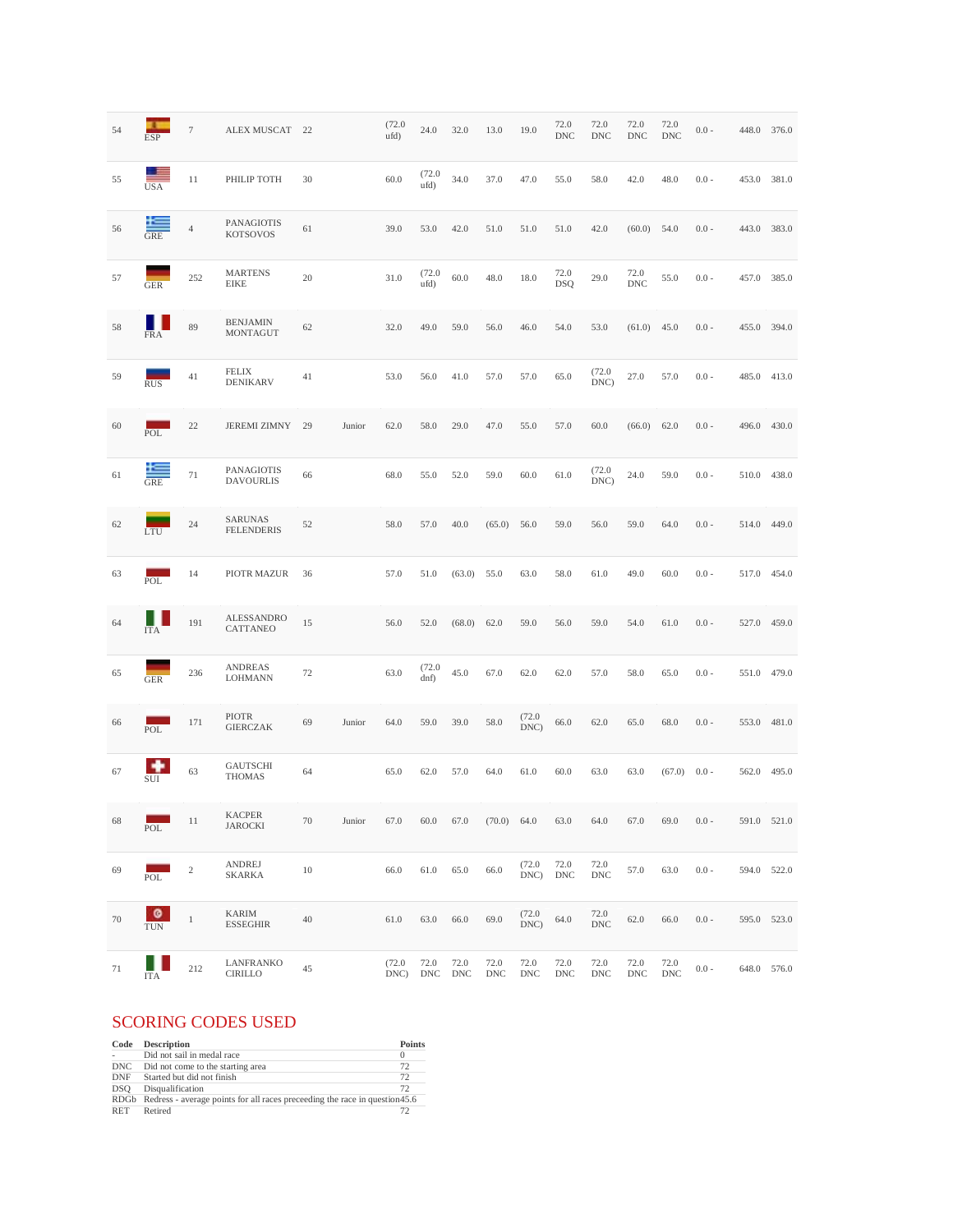| 54 | <b>ESP</b>              | $\tau$         | ALEX MUSCAT                           | 22     |        | (72.0)<br>ufd) | 24.0           | 32.0        | 13.0                         | 19.0                         | 72.0<br><b>DNC</b>                  | 72.0<br><b>DNC</b>                  | 72.0<br><b>DNC</b>           | 72.0<br><b>DNC</b>                  | $0.0 -$ |       | 448.0 376.0 |
|----|-------------------------|----------------|---------------------------------------|--------|--------|----------------|----------------|-------------|------------------------------|------------------------------|-------------------------------------|-------------------------------------|------------------------------|-------------------------------------|---------|-------|-------------|
| 55 | <b>USA</b>              | 11             | PHILIP TOTH                           | 30     |        | 60.0           | (72.0)<br>ufd) | 34.0        | 37.0                         | 47.0                         | 55.0                                | 58.0                                | 42.0                         | 48.0                                | $0.0 -$ | 453.0 | 381.0       |
| 56 | $rac{1}{\text{GRE}}$    | $\overline{4}$ | PANAGIOTIS<br><b>KOTSOVOS</b>         | 61     |        | 39.0           | 53.0           | 42.0        | 51.0                         | 51.0                         | 51.0                                | 42.0                                | (60.0)                       | 54.0                                | $0.0 -$ |       | 443.0 383.0 |
| 57 | <b>GER</b>              | 252            | <b>MARTENS</b><br><b>EIKE</b>         | 20     |        | 31.0           | (72.0)<br>ufd) | 60.0        | 48.0                         | 18.0                         | 72.0<br><b>DSQ</b>                  | 29.0                                | 72.0<br><b>DNC</b>           | 55.0                                | $0.0 -$ | 457.0 | 385.0       |
| 58 | <b>FRA</b>              | 89             | <b>BENJAMIN</b><br><b>MONTAGUT</b>    | 62     |        | 32.0           | 49.0           | 59.0        | 56.0                         | 46.0                         | 54.0                                | 53.0                                | (61.0)                       | 45.0                                | $0.0 -$ |       | 455.0 394.0 |
| 59 | <b>RUS</b>              | 41             | <b>FELIX</b><br><b>DENIKARV</b>       | 41     |        | 53.0           | 56.0           | 41.0        | 57.0                         | 57.0                         | 65.0                                | (72.0)<br>DNC)                      | 27.0                         | 57.0                                | $0.0 -$ |       | 485.0 413.0 |
| 60 | POL                     | 22             | <b>JEREMI ZIMNY</b>                   | 29     | Junior | 62.0           | 58.0           | 29.0        | 47.0                         | 55.0                         | 57.0                                | 60.0                                | (66.0)                       | 62.0                                | $0.0 -$ |       | 496.0 430.0 |
| 61 | GRE                     | 71             | <b>PANAGIOTIS</b><br><b>DAVOURLIS</b> | 66     |        | 68.0           | 55.0           | 52.0        | 59.0                         | 60.0                         | 61.0                                | (72.0)<br>DNC)                      | 24.0                         | 59.0                                | $0.0 -$ |       | 510.0 438.0 |
| 62 | <b>LTU</b>              | 24             | <b>SARUNAS</b><br><b>FELENDERIS</b>   | 52     |        | 58.0           | 57.0           | 40.0        | (65.0)                       | 56.0                         | 59.0                                | 56.0                                | 59.0                         | 64.0                                | $0.0 -$ |       | 514.0 449.0 |
| 63 | POL                     | 14             | PIOTR MAZUR                           | 36     |        | 57.0           | 51.0           | (63.0)      | 55.0                         | 63.0                         | 58.0                                | 61.0                                | 49.0                         | 60.0                                | $0.0 -$ |       | 517.0 454.0 |
| 64 | <b>ITA</b>              | 191            | ALESSANDRO<br>CATTANEO                | 15     |        | 56.0           | 52.0           | (68.0)      | 62.0                         | 59.0                         | 56.0                                | 59.0                                | 54.0                         | 61.0                                | $0.0 -$ |       | 527.0 459.0 |
| 65 | <b>GER</b>              | 236            | <b>ANDREAS</b><br><b>LOHMANN</b>      | 72     |        | 63.0           | (72.0)<br>dnf) | 45.0        | 67.0                         | 62.0                         | 62.0                                | 57.0                                | 58.0                         | 65.0                                | $0.0 -$ |       | 551.0 479.0 |
| 66 | POL                     | 171            | <b>PIOTR</b><br><b>GIERCZAK</b>       | 69     | Junior | 64.0           | 59.0           | 39.0        | 58.0                         | (72.0)<br>DNC)               | 66.0                                | 62.0                                | 65.0                         | 68.0                                | $0.0 -$ |       | 553.0 481.0 |
| 67 | <b>SUI</b>              | 63             | <b>GAUTSCHI</b><br><b>THOMAS</b>      | 64     |        | 65.0           | 62.0           | 57.0        | 64.0                         | 61.0                         | 60.0                                | 63.0                                | 63.0                         | (67.0)                              | $0.0 -$ |       | 562.0 495.0 |
| 68 | POL                     | 11             | <b>KACPER</b><br><b>JAROCKI</b>       | $70\,$ | Junior | 67.0           | 60.0           | 67.0        | $(70.0)$ 64.0                |                              | 63.0                                | 64.0                                | 67.0                         | 69.0                                | $0.0$ - |       | 591.0 521.0 |
| 69 | POL                     | $\sqrt{2}$     | <b>ANDREJ</b><br><b>SKARKA</b>        | $10\,$ |        | 66.0           | 61.0           | 65.0        | 66.0                         | (72.0)<br>DNC)               | 72.0<br><b>DNC</b>                  | 72.0<br><b>DNC</b>                  | 57.0                         | 63.0                                | $0.0 -$ |       | 594.0 522.0 |
| 70 | $\bullet$<br><b>TUN</b> | $\mathbf{1}$   | <b>KARIM</b><br><b>ESSEGHIR</b>       | 40     |        | 61.0           | 63.0           | 66.0        | 69.0                         | (72.0)<br>DNC)               | 64.0                                | 72.0<br>$\mathop{\rm DNC}\nolimits$ | 62.0                         | 66.0                                | $0.0 -$ |       | 595.0 523.0 |
| 71 | <b>ITA</b>              | 212            | LANFRANKO<br><b>CIRILLO</b>           | 45     |        | (72.0)<br>DNC) | 72.0<br>DNC    | 72.0<br>DNC | 72.0<br>$\operatorname{DNC}$ | 72.0<br>$\operatorname{DNC}$ | 72.0<br>$\mathop{\rm DNC}\nolimits$ | 72.0<br>$\operatorname{DNC}$        | 72.0<br>$\operatorname{DNC}$ | 72.0<br>$\mathop{\rm DNC}\nolimits$ | $0.0 -$ |       | 648.0 576.0 |

## SCORING CODES USED

| Code       | <b>Description</b>                                                              | <b>Points</b> |
|------------|---------------------------------------------------------------------------------|---------------|
| $\sim$     | Did not sail in medal race                                                      | $^{()}$       |
| DNC        | Did not come to the starting area                                               | 72            |
| <b>DNF</b> | Started but did not finish                                                      | 72            |
| <b>DSO</b> | Disqualification                                                                | 72            |
|            | RDGb Redress - average points for all races preceeding the race in question45.6 |               |
| <b>RET</b> | Retired                                                                         |               |